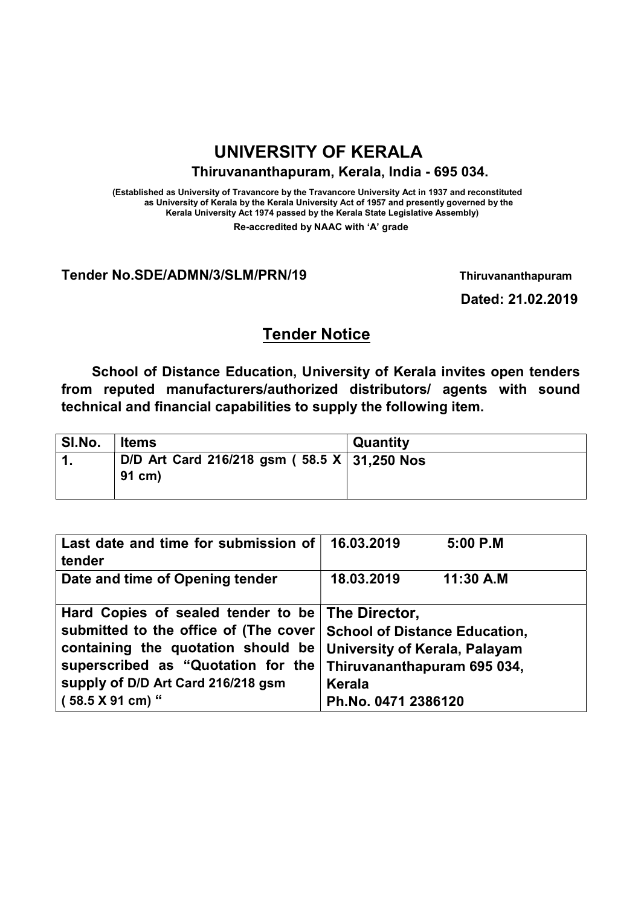# UNIVERSITY OF KERALA

#### Thiruvananthapuram, Kerala, India - 695 034.

(Established as University of Travancore by the Travancore University Act in 1937 and reconstituted as University of Kerala by the Kerala University Act of 1957 and presently governed by the Kerala University Act 1974 passed by the Kerala State Legislative Assembly) Re-accredited by NAAC with 'A' grade

#### Tender No.SDE/ADMN/3/SLM/PRN/19 Thiruvananthapuram

Dated: 21.02.2019

## Tender Notice

School of Distance Education, University of Kerala invites open tenders from reputed manufacturers/authorized distributors/ agents with sound technical and financial capabilities to supply the following item.

| SI.No. | <b>Items</b>                                             | <b>Quantity</b> |
|--------|----------------------------------------------------------|-----------------|
|        | D/D Art Card 216/218 gsm ( $58.5 X$ 31,250 Nos<br>91 cm) |                 |

| Last date and time for submission of  | 16.03.2019<br>$5:00$ P.M             |  |  |
|---------------------------------------|--------------------------------------|--|--|
| tender                                |                                      |  |  |
| Date and time of Opening tender       | 18.03.2019<br>11:30 A.M              |  |  |
| Hard Copies of sealed tender to be    | The Director,                        |  |  |
| submitted to the office of (The cover | <b>School of Distance Education,</b> |  |  |
| containing the quotation should be    | University of Kerala, Palayam        |  |  |
| superscribed as "Quotation for the    | Thiruvananthapuram 695 034,          |  |  |
| supply of D/D Art Card 216/218 gsm    | <b>Kerala</b>                        |  |  |
| (58.5 X 91 cm) "                      | Ph.No. 0471 2386120                  |  |  |